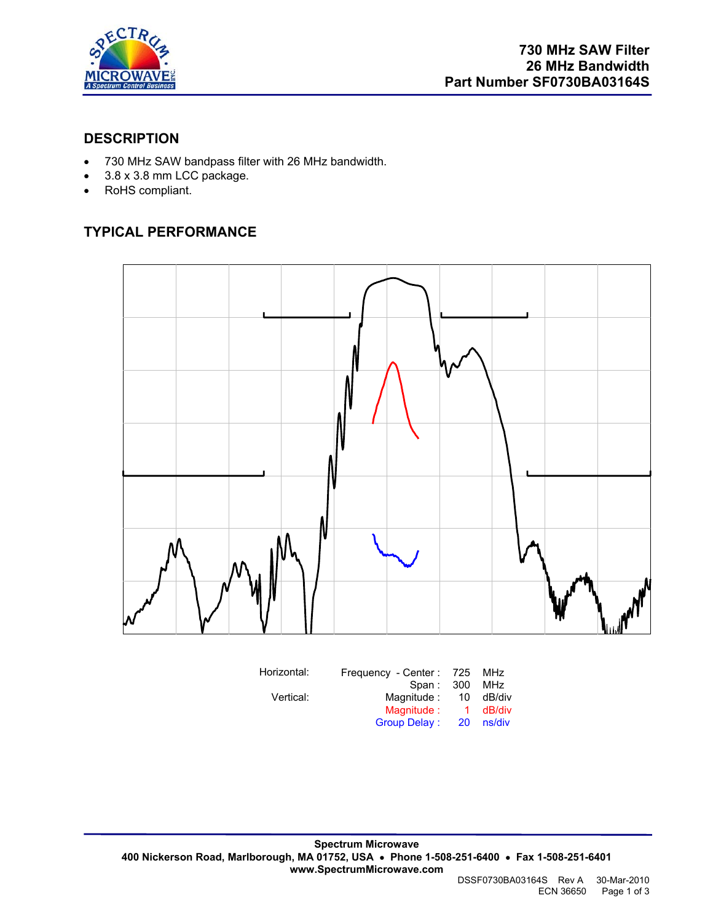

#### **DESCRIPTION**

- 730 MHz SAW bandpass filter with 26 MHz bandwidth.
- 3.8 x 3.8 mm LCC package.
- RoHS compliant.

## **TYPICAL PERFORMANCE**



| Horizontal: | Frequency - Center: 725 |           | MHz    |
|-------------|-------------------------|-----------|--------|
|             | Span: 300               |           | MHz    |
| Vertical:   | Magnitude:              | 10        | dB/div |
|             | Magnitude:              | 1.        | dB/div |
|             | <b>Group Delay:</b>     | <b>20</b> | ns/div |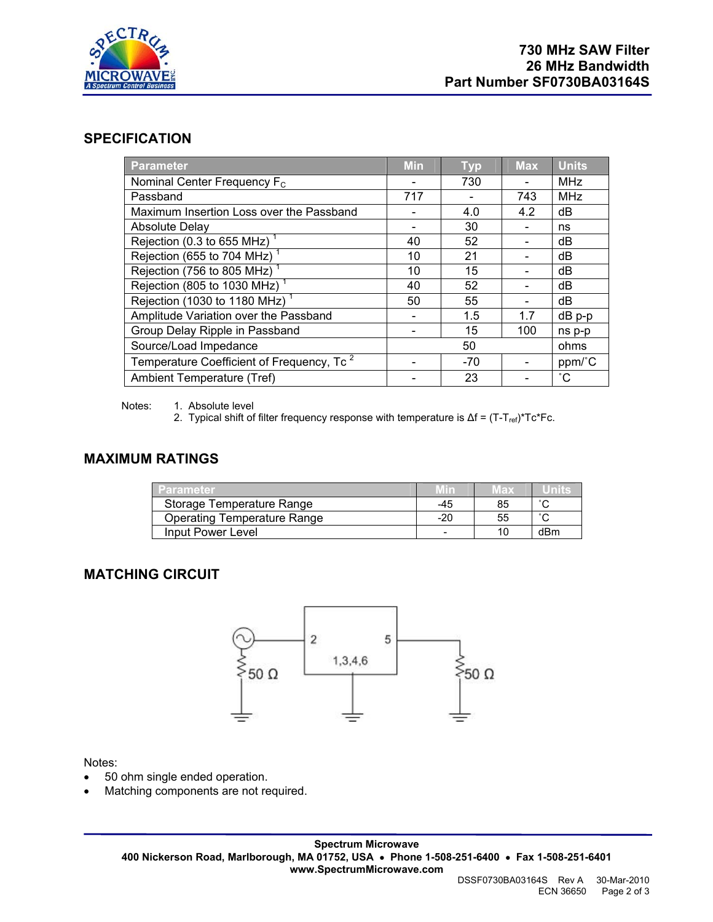

#### **SPECIFICATION**

| <b>Parameter</b>                                      | <b>Min</b> | <b>Typ</b> | <b>Max</b> | <b>Units</b>    |
|-------------------------------------------------------|------------|------------|------------|-----------------|
| Nominal Center Frequency F <sub>c</sub>               |            | 730        |            | <b>MHz</b>      |
| Passband                                              | 717        |            | 743        | <b>MHz</b>      |
| Maximum Insertion Loss over the Passband              |            | 4.0        | 4.2        | dB              |
| <b>Absolute Delay</b>                                 |            | 30         |            | ns              |
| Rejection (0.3 to 655 MHz) <sup>1</sup>               | 40         | 52         |            | dB              |
| Rejection (655 to 704 MHz)                            | 10         | 21         |            | dB              |
| Rejection (756 to 805 MHz) <sup>1</sup>               | 10         | 15         |            | dB              |
| Rejection (805 to 1030 MHz) <sup>1</sup>              | 40         | 52         |            | dB              |
| Rejection (1030 to 1180 MHz) <sup>1</sup>             | 50         | 55         |            | dB              |
| Amplitude Variation over the Passband                 |            | 1.5        | 1.7        | $dB$ $p-p$      |
| Group Delay Ripple in Passband                        |            | 15         | 100        | ns p-p          |
| Source/Load Impedance                                 |            | 50         |            | ohms            |
| Temperature Coefficient of Frequency, Tc <sup>2</sup> |            | $-70$      |            | ppm/°C          |
| Ambient Temperature (Tref)                            |            | 23         |            | $\rm ^{\circ}C$ |

Notes: 1. Absolute level

2. Typical shift of filter frequency response with temperature is  $\Delta f = (T - T_{ref})^*Tc^*Fc$ .

#### **MAXIMUM RATINGS**

| <b>Parameter</b>                   |                          | wax | units  |
|------------------------------------|--------------------------|-----|--------|
| Storage Temperature Range          | -45                      | 85  | $\sim$ |
| <b>Operating Temperature Range</b> | $-20$                    | 55  | $\sim$ |
| Input Power Level                  | $\overline{\phantom{a}}$ | 10  | dBm    |

#### **MATCHING CIRCUIT**



Notes:

- 50 ohm single ended operation.
- Matching components are not required.